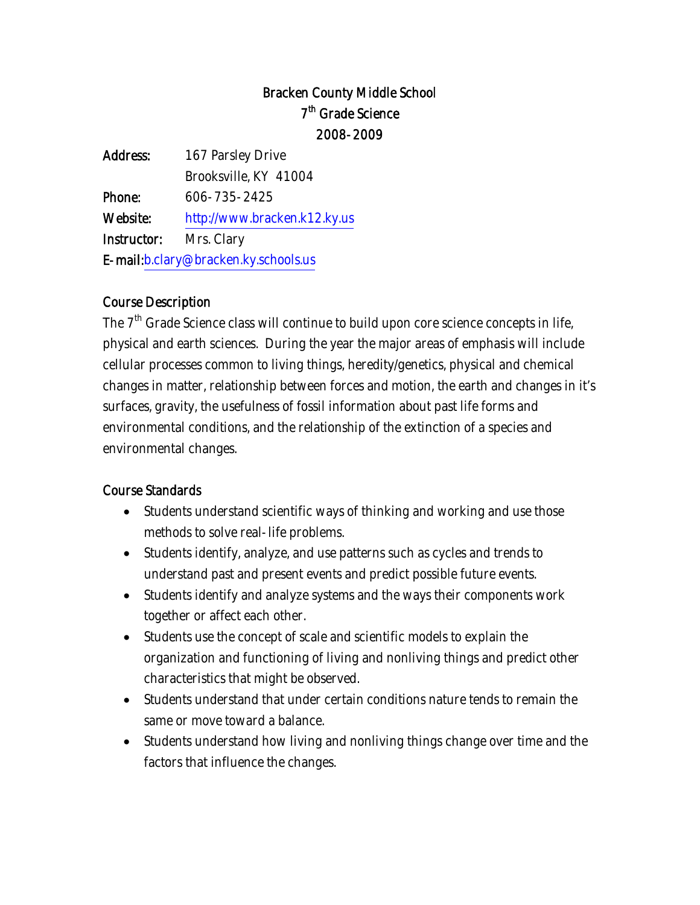# Bracken County Middle School 7<sup>th</sup> Grade Science 2008-2009

| Address:                             | 167 Parsley Drive            |  |
|--------------------------------------|------------------------------|--|
|                                      | Brooksville, KY 41004        |  |
| Phone:                               | 606-735-2425                 |  |
| Website:                             | http://www.bracken.k12.ky.us |  |
| Instructor:                          | Mrs. Clary                   |  |
| E-mail:b.clary@bracken.ky.schools.us |                              |  |
|                                      |                              |  |

#### Course Description

The  $7<sup>th</sup>$  Grade Science class will continue to build upon core science concepts in life, physical and earth sciences. During the year the major areas of emphasis will include cellular processes common to living things, heredity/genetics, physical and chemical changes in matter, relationship between forces and motion, the earth and changes in it's surfaces, gravity, the usefulness of fossil information about past life forms and environmental conditions, and the relationship of the extinction of a species and environmental changes.

#### Course Standards

- Students understand scientific ways of thinking and working and use those methods to solve real-life problems.
- Students identify, analyze, and use patterns such as cycles and trends to understand past and present events and predict possible future events.
- Students identify and analyze systems and the ways their components work together or affect each other.
- Students use the concept of scale and scientific models to explain the organization and functioning of living and nonliving things and predict other characteristics that might be observed.
- Students understand that under certain conditions nature tends to remain the same or move toward a balance.
- Students understand how living and nonliving things change over time and the factors that influence the changes.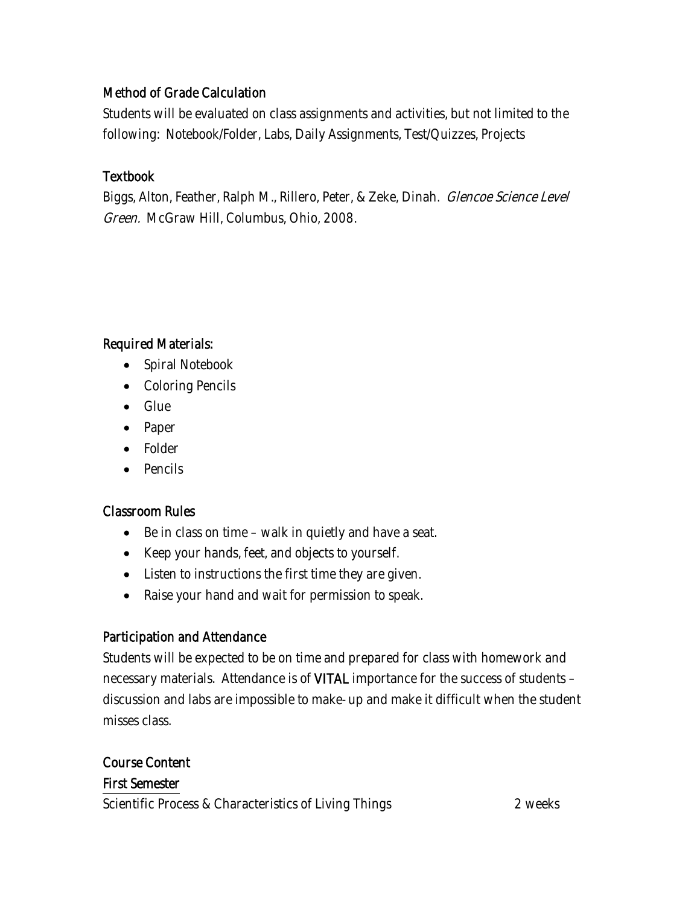## Method of Grade Calculation

Students will be evaluated on class assignments and activities, but not limited to the following: Notebook/Folder, Labs, Daily Assignments, Test/Quizzes, Projects

#### Textbook

Biggs, Alton, Feather, Ralph M., Rillero, Peter, & Zeke, Dinah. Glencoe Science Level Green. McGraw Hill, Columbus, Ohio, 2008.

## Required Materials:

- Spiral Notebook
- Coloring Pencils
- Glue
- Paper
- Folder
- Pencils

#### Classroom Rules

- Be in class on time walk in quietly and have a seat.
- Keep your hands, feet, and objects to yourself.
- Listen to instructions the first time they are given.
- Raise your hand and wait for permission to speak.

# Participation and Attendance

Students will be expected to be on time and prepared for class with homework and necessary materials. Attendance is of VITAL importance for the success of students – discussion and labs are impossible to make-up and make it difficult when the student misses class.

#### Course Content First Semester

Scientific Process & Characteristics of Living Things 2 weeks